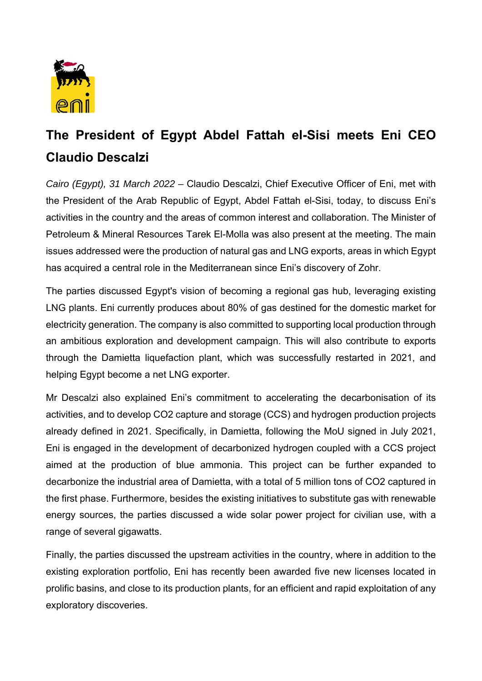

## **The President of Egypt Abdel Fattah el-Sisi meets Eni CEO Claudio Descalzi**

*Cairo (Egypt), 31 March 2022 –* Claudio Descalzi, Chief Executive Officer of Eni, met with the President of the Arab Republic of Egypt, Abdel Fattah el-Sisi, today, to discuss Eni's activities in the country and the areas of common interest and collaboration. The Minister of Petroleum & Mineral Resources Tarek El-Molla was also present at the meeting. The main issues addressed were the production of natural gas and LNG exports, areas in which Egypt has acquired a central role in the Mediterranean since Eni's discovery of Zohr.

The parties discussed Egypt's vision of becoming a regional gas hub, leveraging existing LNG plants. Eni currently produces about 80% of gas destined for the domestic market for electricity generation. The company is also committed to supporting local production through an ambitious exploration and development campaign. This will also contribute to exports through the Damietta liquefaction plant, which was successfully restarted in 2021, and helping Egypt become a net LNG exporter.

Mr Descalzi also explained Eni's commitment to accelerating the decarbonisation of its activities, and to develop CO2 capture and storage (CCS) and hydrogen production projects already defined in 2021. Specifically, in Damietta, following the MoU signed in July 2021, Eni is engaged in the development of decarbonized hydrogen coupled with a CCS project aimed at the production of blue ammonia. This project can be further expanded to decarbonize the industrial area of Damietta, with a total of 5 million tons of CO2 captured in the first phase. Furthermore, besides the existing initiatives to substitute gas with renewable energy sources, the parties discussed a wide solar power project for civilian use, with a range of several gigawatts.

Finally, the parties discussed the upstream activities in the country, where in addition to the existing exploration portfolio, Eni has recently been awarded five new licenses located in prolific basins, and close to its production plants, for an efficient and rapid exploitation of any exploratory discoveries.